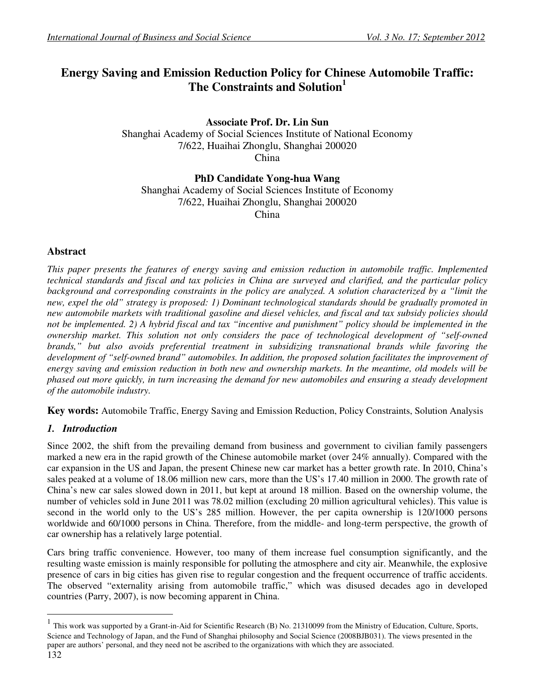# **Energy Saving and Emission Reduction Policy for Chinese Automobile Traffic: The Constraints and Solution<sup>1</sup>**

**Associate Prof. Dr. Lin Sun**  Shanghai Academy of Social Sciences Institute of National Economy 7/622, Huaihai Zhonglu, Shanghai 200020 China

**PhD Candidate Yong-hua Wang** 

Shanghai Academy of Social Sciences Institute of Economy 7/622, Huaihai Zhonglu, Shanghai 200020 China

## **Abstract**

*This paper presents the features of energy saving and emission reduction in automobile traffic. Implemented technical standards and fiscal and tax policies in China are surveyed and clarified, and the particular policy background and corresponding constraints in the policy are analyzed. A solution characterized by a "limit the new, expel the old" strategy is proposed: 1) Dominant technological standards should be gradually promoted in new automobile markets with traditional gasoline and diesel vehicles, and fiscal and tax subsidy policies should not be implemented. 2) A hybrid fiscal and tax "incentive and punishment" policy should be implemented in the ownership market. This solution not only considers the pace of technological development of "self-owned brands," but also avoids preferential treatment in subsidizing transnational brands while favoring the* development of "self-owned brand" automobiles. In addition, the proposed solution facilitates the improvement of *energy saving and emission reduction in both new and ownership markets. In the meantime, old models will be phased out more quickly, in turn increasing the demand for new automobiles and ensuring a steady development of the automobile industry.* 

**Key words:** Automobile Traffic, Energy Saving and Emission Reduction, Policy Constraints, Solution Analysis

## *1. Introduction*

Since 2002, the shift from the prevailing demand from business and government to civilian family passengers marked a new era in the rapid growth of the Chinese automobile market (over 24% annually). Compared with the car expansion in the US and Japan, the present Chinese new car market has a better growth rate. In 2010, China's sales peaked at a volume of 18.06 million new cars, more than the US's 17.40 million in 2000. The growth rate of China's new car sales slowed down in 2011, but kept at around 18 million. Based on the ownership volume, the number of vehicles sold in June 2011 was 78.02 million (excluding 20 million agricultural vehicles). This value is second in the world only to the US's 285 million. However, the per capita ownership is 120/1000 persons worldwide and 60/1000 persons in China. Therefore, from the middle- and long-term perspective, the growth of car ownership has a relatively large potential.

Cars bring traffic convenience. However, too many of them increase fuel consumption significantly, and the resulting waste emission is mainly responsible for polluting the atmosphere and city air. Meanwhile, the explosive presence of cars in big cities has given rise to regular congestion and the frequent occurrence of traffic accidents. The observed "externality arising from automobile traffic," which was disused decades ago in developed countries (Parry, 2007), is now becoming apparent in China.

1

<sup>&</sup>lt;sup>1</sup> This work was supported by a Grant-in-Aid for Scientific Research (B) No. 21310099 from the Ministry of Education, Culture, Sports, Science and Technology of Japan, and the Fund of Shanghai philosophy and Social Science (2008BJB031). The views presented in the paper are authors' personal, and they need not be ascribed to the organizations with which they are associated.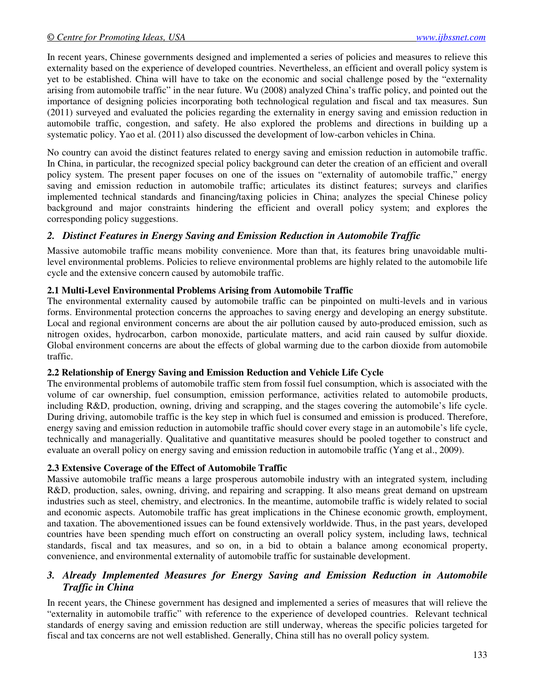In recent years, Chinese governments designed and implemented a series of policies and measures to relieve this externality based on the experience of developed countries. Nevertheless, an efficient and overall policy system is yet to be established. China will have to take on the economic and social challenge posed by the "externality arising from automobile traffic" in the near future. Wu (2008) analyzed China's traffic policy, and pointed out the importance of designing policies incorporating both technological regulation and fiscal and tax measures. Sun (2011) surveyed and evaluated the policies regarding the externality in energy saving and emission reduction in automobile traffic, congestion, and safety. He also explored the problems and directions in building up a systematic policy. Yao et al. (2011) also discussed the development of low-carbon vehicles in China.

No country can avoid the distinct features related to energy saving and emission reduction in automobile traffic. In China, in particular, the recognized special policy background can deter the creation of an efficient and overall policy system. The present paper focuses on one of the issues on "externality of automobile traffic," energy saving and emission reduction in automobile traffic; articulates its distinct features; surveys and clarifies implemented technical standards and financing/taxing policies in China; analyzes the special Chinese policy background and major constraints hindering the efficient and overall policy system; and explores the corresponding policy suggestions.

## *2. Distinct Features in Energy Saving and Emission Reduction in Automobile Traffic*

Massive automobile traffic means mobility convenience. More than that, its features bring unavoidable multilevel environmental problems. Policies to relieve environmental problems are highly related to the automobile life cycle and the extensive concern caused by automobile traffic.

## **2.1 Multi-Level Environmental Problems Arising from Automobile Traffic**

The environmental externality caused by automobile traffic can be pinpointed on multi-levels and in various forms. Environmental protection concerns the approaches to saving energy and developing an energy substitute. Local and regional environment concerns are about the air pollution caused by auto-produced emission, such as nitrogen oxides, hydrocarbon, carbon monoxide, particulate matters, and acid rain caused by sulfur dioxide. Global environment concerns are about the effects of global warming due to the carbon dioxide from automobile traffic.

## **2.2 Relationship of Energy Saving and Emission Reduction and Vehicle Life Cycle**

The environmental problems of automobile traffic stem from fossil fuel consumption, which is associated with the volume of car ownership, fuel consumption, emission performance, activities related to automobile products, including R&D, production, owning, driving and scrapping, and the stages covering the automobile's life cycle. During driving, automobile traffic is the key step in which fuel is consumed and emission is produced. Therefore, energy saving and emission reduction in automobile traffic should cover every stage in an automobile's life cycle, technically and managerially. Qualitative and quantitative measures should be pooled together to construct and evaluate an overall policy on energy saving and emission reduction in automobile traffic (Yang et al., 2009).

## **2.3 Extensive Coverage of the Effect of Automobile Traffic**

Massive automobile traffic means a large prosperous automobile industry with an integrated system, including R&D, production, sales, owning, driving, and repairing and scrapping. It also means great demand on upstream industries such as steel, chemistry, and electronics. In the meantime, automobile traffic is widely related to social and economic aspects. Automobile traffic has great implications in the Chinese economic growth, employment, and taxation. The abovementioned issues can be found extensively worldwide. Thus, in the past years, developed countries have been spending much effort on constructing an overall policy system, including laws, technical standards, fiscal and tax measures, and so on, in a bid to obtain a balance among economical property, convenience, and environmental externality of automobile traffic for sustainable development.

## *3. Already Implemented Measures for Energy Saving and Emission Reduction in Automobile Traffic in China*

In recent years, the Chinese government has designed and implemented a series of measures that will relieve the "externality in automobile traffic" with reference to the experience of developed countries. Relevant technical standards of energy saving and emission reduction are still underway, whereas the specific policies targeted for fiscal and tax concerns are not well established. Generally, China still has no overall policy system.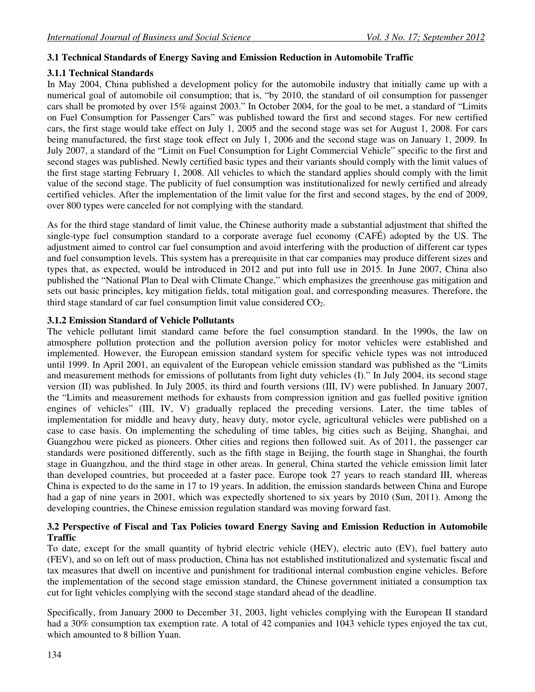## **3.1 Technical Standards of Energy Saving and Emission Reduction in Automobile Traffic**

## **3.1.1 Technical Standards**

In May 2004, China published a development policy for the automobile industry that initially came up with a numerical goal of automobile oil consumption; that is, "by 2010, the standard of oil consumption for passenger cars shall be promoted by over 15% against 2003." In October 2004, for the goal to be met, a standard of "Limits on Fuel Consumption for Passenger Cars" was published toward the first and second stages. For new certified cars, the first stage would take effect on July 1, 2005 and the second stage was set for August 1, 2008. For cars being manufactured, the first stage took effect on July 1, 2006 and the second stage was on January 1, 2009. In July 2007, a standard of the "Limit on Fuel Consumption for Light Commercial Vehicle" specific to the first and second stages was published. Newly certified basic types and their variants should comply with the limit values of the first stage starting February 1, 2008. All vehicles to which the standard applies should comply with the limit value of the second stage. The publicity of fuel consumption was institutionalized for newly certified and already certified vehicles. After the implementation of the limit value for the first and second stages, by the end of 2009, over 800 types were canceled for not complying with the standard.

As for the third stage standard of limit value, the Chinese authority made a substantial adjustment that shifted the single-type fuel consumption standard to a corporate average fuel economy (CAFÉ) adopted by the US. The adjustment aimed to control car fuel consumption and avoid interfering with the production of different car types and fuel consumption levels. This system has a prerequisite in that car companies may produce different sizes and types that, as expected, would be introduced in 2012 and put into full use in 2015. In June 2007, China also published the "National Plan to Deal with Climate Change," which emphasizes the greenhouse gas mitigation and sets out basic principles, key mitigation fields, total mitigation goal, and corresponding measures. Therefore, the third stage standard of car fuel consumption limit value considered CO2.

### **3.1.2 Emission Standard of Vehicle Pollutants**

The vehicle pollutant limit standard came before the fuel consumption standard. In the 1990s, the law on atmosphere pollution protection and the pollution aversion policy for motor vehicles were established and implemented. However, the European emission standard system for specific vehicle types was not introduced until 1999. In April 2001, an equivalent of the European vehicle emission standard was published as the "Limits and measurement methods for emissions of pollutants from light duty vehicles (I)." In July 2004, its second stage version (II) was published. In July 2005, its third and fourth versions (III, IV) were published. In January 2007, the "Limits and measurement methods for exhausts from compression ignition and gas fuelled positive ignition engines of vehicles" (III, IV, V) gradually replaced the preceding versions. Later, the time tables of implementation for middle and heavy duty, heavy duty, motor cycle, agricultural vehicles were published on a case to case basis. On implementing the scheduling of time tables, big cities such as Beijing, Shanghai, and Guangzhou were picked as pioneers. Other cities and regions then followed suit. As of 2011, the passenger car standards were positioned differently, such as the fifth stage in Beijing, the fourth stage in Shanghai, the fourth stage in Guangzhou, and the third stage in other areas. In general, China started the vehicle emission limit later than developed countries, but proceeded at a faster pace. Europe took 27 years to reach standard III, whereas China is expected to do the same in 17 to 19 years. In addition, the emission standards between China and Europe had a gap of nine years in 2001, which was expectedly shortened to six years by 2010 (Sun, 2011). Among the developing countries, the Chinese emission regulation standard was moving forward fast.

### **3.2 Perspective of Fiscal and Tax Policies toward Energy Saving and Emission Reduction in Automobile Traffic**

To date, except for the small quantity of hybrid electric vehicle (HEV), electric auto (EV), fuel battery auto (FEV), and so on left out of mass production, China has not established institutionalized and systematic fiscal and tax measures that dwell on incentive and punishment for traditional internal combustion engine vehicles. Before the implementation of the second stage emission standard, the Chinese government initiated a consumption tax cut for light vehicles complying with the second stage standard ahead of the deadline.

Specifically, from January 2000 to December 31, 2003, light vehicles complying with the European II standard had a 30% consumption tax exemption rate. A total of 42 companies and 1043 vehicle types enjoyed the tax cut, which amounted to 8 billion Yuan.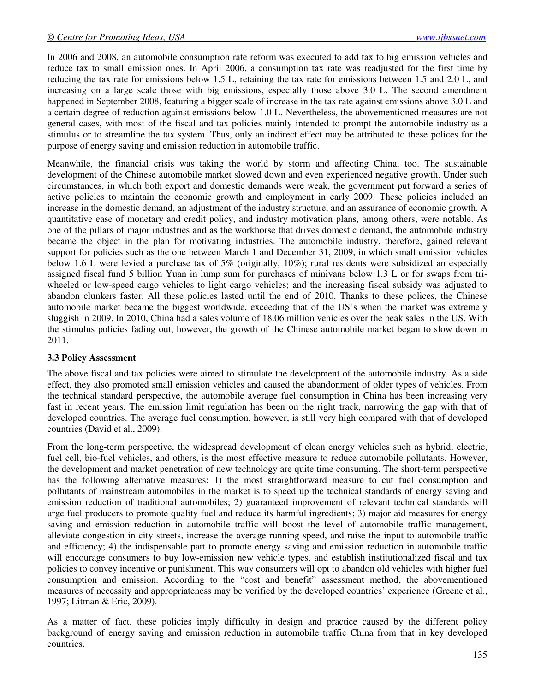In 2006 and 2008, an automobile consumption rate reform was executed to add tax to big emission vehicles and reduce tax to small emission ones. In April 2006, a consumption tax rate was readjusted for the first time by reducing the tax rate for emissions below 1.5 L, retaining the tax rate for emissions between 1.5 and 2.0 L, and increasing on a large scale those with big emissions, especially those above 3.0 L. The second amendment happened in September 2008, featuring a bigger scale of increase in the tax rate against emissions above 3.0 L and a certain degree of reduction against emissions below 1.0 L. Nevertheless, the abovementioned measures are not general cases, with most of the fiscal and tax policies mainly intended to prompt the automobile industry as a stimulus or to streamline the tax system. Thus, only an indirect effect may be attributed to these polices for the purpose of energy saving and emission reduction in automobile traffic.

Meanwhile, the financial crisis was taking the world by storm and affecting China, too. The sustainable development of the Chinese automobile market slowed down and even experienced negative growth. Under such circumstances, in which both export and domestic demands were weak, the government put forward a series of active policies to maintain the economic growth and employment in early 2009. These policies included an increase in the domestic demand, an adjustment of the industry structure, and an assurance of economic growth. A quantitative ease of monetary and credit policy, and industry motivation plans, among others, were notable. As one of the pillars of major industries and as the workhorse that drives domestic demand, the automobile industry became the object in the plan for motivating industries. The automobile industry, therefore, gained relevant support for policies such as the one between March 1 and December 31, 2009, in which small emission vehicles below 1.6 L were levied a purchase tax of 5% (originally, 10%); rural residents were subsidized an especially assigned fiscal fund 5 billion Yuan in lump sum for purchases of minivans below 1.3 L or for swaps from triwheeled or low-speed cargo vehicles to light cargo vehicles; and the increasing fiscal subsidy was adjusted to abandon clunkers faster. All these policies lasted until the end of 2010. Thanks to these polices, the Chinese automobile market became the biggest worldwide, exceeding that of the US's when the market was extremely sluggish in 2009. In 2010, China had a sales volume of 18.06 million vehicles over the peak sales in the US. With the stimulus policies fading out, however, the growth of the Chinese automobile market began to slow down in 2011.

## **3.3 Policy Assessment**

The above fiscal and tax policies were aimed to stimulate the development of the automobile industry. As a side effect, they also promoted small emission vehicles and caused the abandonment of older types of vehicles. From the technical standard perspective, the automobile average fuel consumption in China has been increasing very fast in recent years. The emission limit regulation has been on the right track, narrowing the gap with that of developed countries. The average fuel consumption, however, is still very high compared with that of developed countries (David et al., 2009).

From the long-term perspective, the widespread development of clean energy vehicles such as hybrid, electric, fuel cell, bio-fuel vehicles, and others, is the most effective measure to reduce automobile pollutants. However, the development and market penetration of new technology are quite time consuming. The short-term perspective has the following alternative measures: 1) the most straightforward measure to cut fuel consumption and pollutants of mainstream automobiles in the market is to speed up the technical standards of energy saving and emission reduction of traditional automobiles; 2) guaranteed improvement of relevant technical standards will urge fuel producers to promote quality fuel and reduce its harmful ingredients; 3) major aid measures for energy saving and emission reduction in automobile traffic will boost the level of automobile traffic management, alleviate congestion in city streets, increase the average running speed, and raise the input to automobile traffic and efficiency; 4) the indispensable part to promote energy saving and emission reduction in automobile traffic will encourage consumers to buy low-emission new vehicle types, and establish institutionalized fiscal and tax policies to convey incentive or punishment. This way consumers will opt to abandon old vehicles with higher fuel consumption and emission. According to the "cost and benefit" assessment method, the abovementioned measures of necessity and appropriateness may be verified by the developed countries' experience (Greene et al., 1997; Litman & Eric, 2009).

As a matter of fact, these policies imply difficulty in design and practice caused by the different policy background of energy saving and emission reduction in automobile traffic China from that in key developed countries.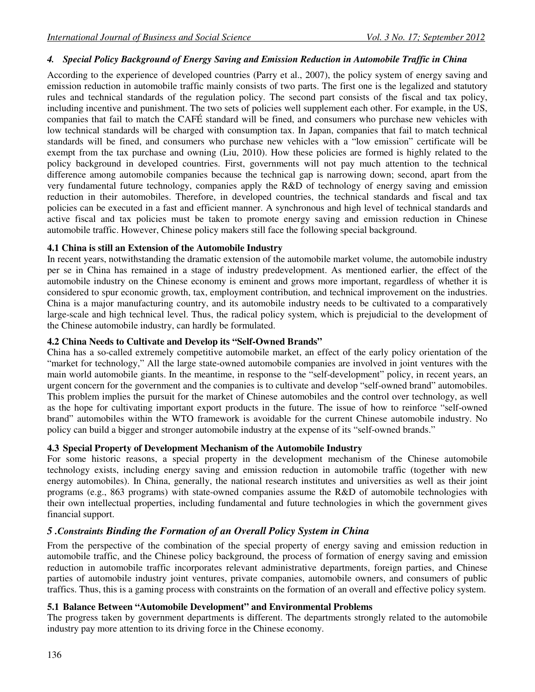### *4. Special Policy Background of Energy Saving and Emission Reduction in Automobile Traffic in China*

According to the experience of developed countries (Parry et al., 2007), the policy system of energy saving and emission reduction in automobile traffic mainly consists of two parts. The first one is the legalized and statutory rules and technical standards of the regulation policy. The second part consists of the fiscal and tax policy, including incentive and punishment. The two sets of policies well supplement each other. For example, in the US, companies that fail to match the CAFÉ standard will be fined, and consumers who purchase new vehicles with low technical standards will be charged with consumption tax. In Japan, companies that fail to match technical standards will be fined, and consumers who purchase new vehicles with a "low emission" certificate will be exempt from the tax purchase and owning (Liu, 2010). How these policies are formed is highly related to the policy background in developed countries. First, governments will not pay much attention to the technical difference among automobile companies because the technical gap is narrowing down; second, apart from the very fundamental future technology, companies apply the R&D of technology of energy saving and emission reduction in their automobiles. Therefore, in developed countries, the technical standards and fiscal and tax policies can be executed in a fast and efficient manner. A synchronous and high level of technical standards and active fiscal and tax policies must be taken to promote energy saving and emission reduction in Chinese automobile traffic. However, Chinese policy makers still face the following special background.

#### **4.1 China is still an Extension of the Automobile Industry**

In recent years, notwithstanding the dramatic extension of the automobile market volume, the automobile industry per se in China has remained in a stage of industry predevelopment. As mentioned earlier, the effect of the automobile industry on the Chinese economy is eminent and grows more important, regardless of whether it is considered to spur economic growth, tax, employment contribution, and technical improvement on the industries. China is a major manufacturing country, and its automobile industry needs to be cultivated to a comparatively large-scale and high technical level. Thus, the radical policy system, which is prejudicial to the development of the Chinese automobile industry, can hardly be formulated.

#### **4.2 China Needs to Cultivate and Develop its "Self-Owned Brands"**

China has a so-called extremely competitive automobile market, an effect of the early policy orientation of the "market for technology," All the large state-owned automobile companies are involved in joint ventures with the main world automobile giants. In the meantime, in response to the "self-development" policy, in recent years, an urgent concern for the government and the companies is to cultivate and develop "self-owned brand" automobiles. This problem implies the pursuit for the market of Chinese automobiles and the control over technology, as well as the hope for cultivating important export products in the future. The issue of how to reinforce "self-owned brand" automobiles within the WTO framework is avoidable for the current Chinese automobile industry. No policy can build a bigger and stronger automobile industry at the expense of its "self-owned brands."

#### **4.3 Special Property of Development Mechanism of the Automobile Industry**

For some historic reasons, a special property in the development mechanism of the Chinese automobile technology exists, including energy saving and emission reduction in automobile traffic (together with new energy automobiles). In China, generally, the national research institutes and universities as well as their joint programs (e.g., 863 programs) with state-owned companies assume the R&D of automobile technologies with their own intellectual properties, including fundamental and future technologies in which the government gives financial support.

## *5 .Constraints Binding the Formation of an Overall Policy System in China*

From the perspective of the combination of the special property of energy saving and emission reduction in automobile traffic, and the Chinese policy background, the process of formation of energy saving and emission reduction in automobile traffic incorporates relevant administrative departments, foreign parties, and Chinese parties of automobile industry joint ventures, private companies, automobile owners, and consumers of public traffics. Thus, this is a gaming process with constraints on the formation of an overall and effective policy system.

#### **5.1 Balance Between "Automobile Development" and Environmental Problems**

The progress taken by government departments is different. The departments strongly related to the automobile industry pay more attention to its driving force in the Chinese economy.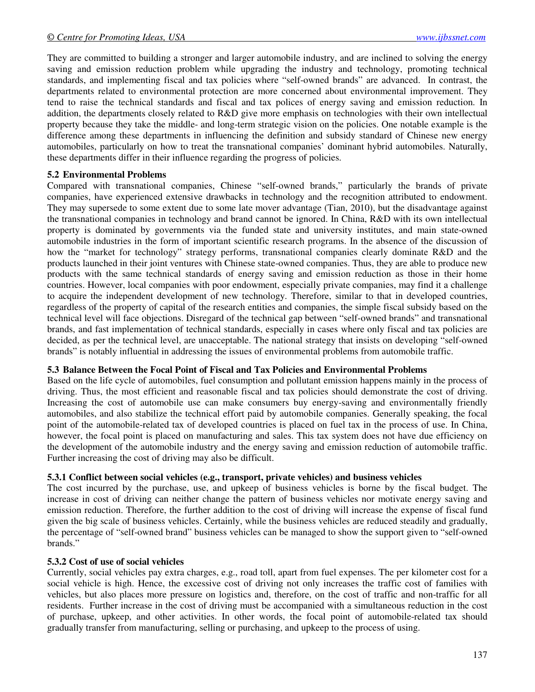They are committed to building a stronger and larger automobile industry, and are inclined to solving the energy saving and emission reduction problem while upgrading the industry and technology, promoting technical standards, and implementing fiscal and tax policies where "self-owned brands" are advanced. In contrast, the departments related to environmental protection are more concerned about environmental improvement. They tend to raise the technical standards and fiscal and tax polices of energy saving and emission reduction. In addition, the departments closely related to R&D give more emphasis on technologies with their own intellectual property because they take the middle- and long-term strategic vision on the policies. One notable example is the difference among these departments in influencing the definition and subsidy standard of Chinese new energy automobiles, particularly on how to treat the transnational companies' dominant hybrid automobiles. Naturally, these departments differ in their influence regarding the progress of policies.

#### **5.2 Environmental Problems**

Compared with transnational companies, Chinese "self-owned brands," particularly the brands of private companies, have experienced extensive drawbacks in technology and the recognition attributed to endowment. They may supersede to some extent due to some late mover advantage (Tian, 2010), but the disadvantage against the transnational companies in technology and brand cannot be ignored. In China, R&D with its own intellectual property is dominated by governments via the funded state and university institutes, and main state-owned automobile industries in the form of important scientific research programs. In the absence of the discussion of how the "market for technology" strategy performs, transnational companies clearly dominate R&D and the products launched in their joint ventures with Chinese state-owned companies. Thus, they are able to produce new products with the same technical standards of energy saving and emission reduction as those in their home countries. However, local companies with poor endowment, especially private companies, may find it a challenge to acquire the independent development of new technology. Therefore, similar to that in developed countries, regardless of the property of capital of the research entities and companies, the simple fiscal subsidy based on the technical level will face objections. Disregard of the technical gap between "self-owned brands" and transnational brands, and fast implementation of technical standards, especially in cases where only fiscal and tax policies are decided, as per the technical level, are unacceptable. The national strategy that insists on developing "self-owned brands" is notably influential in addressing the issues of environmental problems from automobile traffic.

## **5.3 Balance Between the Focal Point of Fiscal and Tax Policies and Environmental Problems**

Based on the life cycle of automobiles, fuel consumption and pollutant emission happens mainly in the process of driving. Thus, the most efficient and reasonable fiscal and tax policies should demonstrate the cost of driving. Increasing the cost of automobile use can make consumers buy energy-saving and environmentally friendly automobiles, and also stabilize the technical effort paid by automobile companies. Generally speaking, the focal point of the automobile-related tax of developed countries is placed on fuel tax in the process of use. In China, however, the focal point is placed on manufacturing and sales. This tax system does not have due efficiency on the development of the automobile industry and the energy saving and emission reduction of automobile traffic. Further increasing the cost of driving may also be difficult.

#### **5.3.1 Conflict between social vehicles (e.g., transport, private vehicles) and business vehicles**

The cost incurred by the purchase, use, and upkeep of business vehicles is borne by the fiscal budget. The increase in cost of driving can neither change the pattern of business vehicles nor motivate energy saving and emission reduction. Therefore, the further addition to the cost of driving will increase the expense of fiscal fund given the big scale of business vehicles. Certainly, while the business vehicles are reduced steadily and gradually, the percentage of "self-owned brand" business vehicles can be managed to show the support given to "self-owned brands."

#### **5.3.2 Cost of use of social vehicles**

Currently, social vehicles pay extra charges, e.g., road toll, apart from fuel expenses. The per kilometer cost for a social vehicle is high. Hence, the excessive cost of driving not only increases the traffic cost of families with vehicles, but also places more pressure on logistics and, therefore, on the cost of traffic and non-traffic for all residents. Further increase in the cost of driving must be accompanied with a simultaneous reduction in the cost of purchase, upkeep, and other activities. In other words, the focal point of automobile-related tax should gradually transfer from manufacturing, selling or purchasing, and upkeep to the process of using.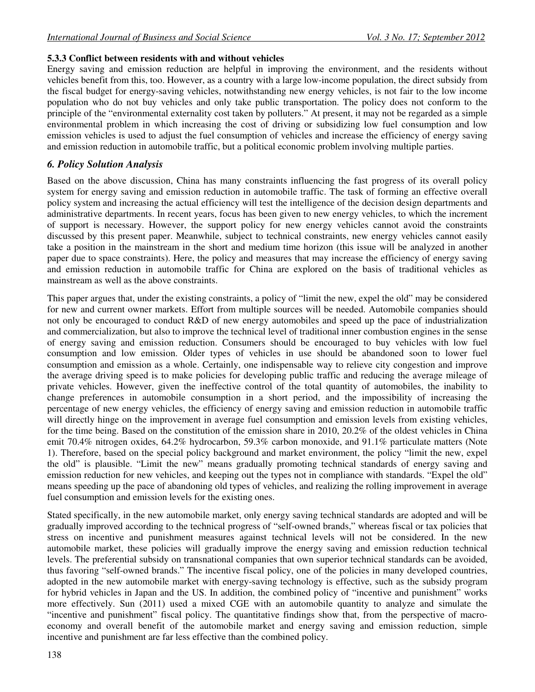### **5.3.3 Conflict between residents with and without vehicles**

Energy saving and emission reduction are helpful in improving the environment, and the residents without vehicles benefit from this, too. However, as a country with a large low-income population, the direct subsidy from the fiscal budget for energy-saving vehicles, notwithstanding new energy vehicles, is not fair to the low income population who do not buy vehicles and only take public transportation. The policy does not conform to the principle of the "environmental externality cost taken by polluters." At present, it may not be regarded as a simple environmental problem in which increasing the cost of driving or subsidizing low fuel consumption and low emission vehicles is used to adjust the fuel consumption of vehicles and increase the efficiency of energy saving and emission reduction in automobile traffic, but a political economic problem involving multiple parties.

## *6. Policy Solution Analysis*

Based on the above discussion, China has many constraints influencing the fast progress of its overall policy system for energy saving and emission reduction in automobile traffic. The task of forming an effective overall policy system and increasing the actual efficiency will test the intelligence of the decision design departments and administrative departments. In recent years, focus has been given to new energy vehicles, to which the increment of support is necessary. However, the support policy for new energy vehicles cannot avoid the constraints discussed by this present paper. Meanwhile, subject to technical constraints, new energy vehicles cannot easily take a position in the mainstream in the short and medium time horizon (this issue will be analyzed in another paper due to space constraints). Here, the policy and measures that may increase the efficiency of energy saving and emission reduction in automobile traffic for China are explored on the basis of traditional vehicles as mainstream as well as the above constraints.

This paper argues that, under the existing constraints, a policy of "limit the new, expel the old" may be considered for new and current owner markets. Effort from multiple sources will be needed. Automobile companies should not only be encouraged to conduct R&D of new energy automobiles and speed up the pace of industrialization and commercialization, but also to improve the technical level of traditional inner combustion engines in the sense of energy saving and emission reduction. Consumers should be encouraged to buy vehicles with low fuel consumption and low emission. Older types of vehicles in use should be abandoned soon to lower fuel consumption and emission as a whole. Certainly, one indispensable way to relieve city congestion and improve the average driving speed is to make policies for developing public traffic and reducing the average mileage of private vehicles. However, given the ineffective control of the total quantity of automobiles, the inability to change preferences in automobile consumption in a short period, and the impossibility of increasing the percentage of new energy vehicles, the efficiency of energy saving and emission reduction in automobile traffic will directly hinge on the improvement in average fuel consumption and emission levels from existing vehicles, for the time being. Based on the constitution of the emission share in 2010, 20.2% of the oldest vehicles in China emit 70.4% nitrogen oxides, 64.2% hydrocarbon, 59.3% carbon monoxide, and 91.1% particulate matters (Note 1). Therefore, based on the special policy background and market environment, the policy "limit the new, expel the old" is plausible. "Limit the new" means gradually promoting technical standards of energy saving and emission reduction for new vehicles, and keeping out the types not in compliance with standards. "Expel the old" means speeding up the pace of abandoning old types of vehicles, and realizing the rolling improvement in average fuel consumption and emission levels for the existing ones.

Stated specifically, in the new automobile market, only energy saving technical standards are adopted and will be gradually improved according to the technical progress of "self-owned brands," whereas fiscal or tax policies that stress on incentive and punishment measures against technical levels will not be considered. In the new automobile market, these policies will gradually improve the energy saving and emission reduction technical levels. The preferential subsidy on transnational companies that own superior technical standards can be avoided, thus favoring "self-owned brands." The incentive fiscal policy, one of the policies in many developed countries, adopted in the new automobile market with energy-saving technology is effective, such as the subsidy program for hybrid vehicles in Japan and the US. In addition, the combined policy of "incentive and punishment" works more effectively. Sun (2011) used a mixed CGE with an automobile quantity to analyze and simulate the "incentive and punishment" fiscal policy. The quantitative findings show that, from the perspective of macroeconomy and overall benefit of the automobile market and energy saving and emission reduction, simple incentive and punishment are far less effective than the combined policy.